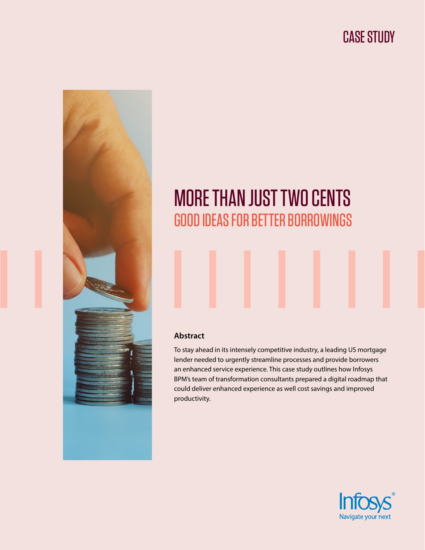# CASE STUDY



# MORE THAN JUST TWO CENTS GOOD IDEAS FOR BETTER BORROWINGS

#### **Abstract**

To stay ahead in its intensely competitive industry, a leading US mortgage lender needed to urgently streamline processes and provide borrowers an enhanced service experience. This case study outlines how Infosys BPM's team of transformation consultants prepared a digital roadmap that could deliver enhanced experience as well cost savings and improved productivity.

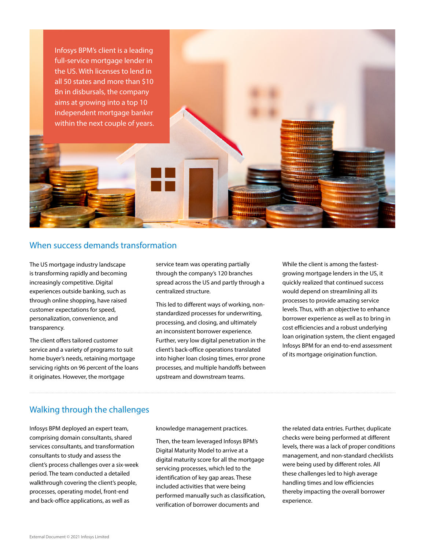Infosys BPM's client is a leading full-service mortgage lender in the US. With licenses to lend in all 50 states and more than \$10 Bn in disbursals, the company aims at growing into a top 10 independent mortgage banker within the next couple of years.

#### When success demands transformation

The US mortgage industry landscape is transforming rapidly and becoming increasingly competitive. Digital experiences outside banking, such as through online shopping, have raised customer expectations for speed, personalization, convenience, and transparency.

The client offers tailored customer service and a variety of programs to suit home buyer's needs, retaining mortgage servicing rights on 96 percent of the loans it originates. However, the mortgage

service team was operating partially through the company's 120 branches spread across the US and partly through a centralized structure.

This led to different ways of working, nonstandardized processes for underwriting, processing, and closing, and ultimately an inconsistent borrower experience. Further, very low digital penetration in the client's back-office operations translated into higher loan closing times, error prone processes, and multiple handoffs between upstream and downstream teams.

While the client is among the fastestgrowing mortgage lenders in the US, it quickly realized that continued success would depend on streamlining all its processes to provide amazing service levels. Thus, with an objective to enhance borrower experience as well as to bring in cost efficiencies and a robust underlying loan origination system, the client engaged Infosys BPM for an end-to-end assessment of its mortgage origination function.

#### Walking through the challenges

Infosys BPM deployed an expert team, comprising domain consultants, shared services consultants, and transformation consultants to study and assess the client's process challenges over a six-week period. The team conducted a detailed walkthrough covering the client's people, processes, operating model, front-end and back-office applications, as well as

knowledge management practices.

Then, the team leveraged Infosys BPM's Digital Maturity Model to arrive at a digital maturity score for all the mortgage servicing processes, which led to the identification of key gap areas. These included activities that were being performed manually such as classification, verification of borrower documents and

the related data entries. Further, duplicate checks were being performed at different levels, there was a lack of proper conditions management, and non-standard checklists were being used by different roles. All these challenges led to high average handling times and low efficiencies thereby impacting the overall borrower experience.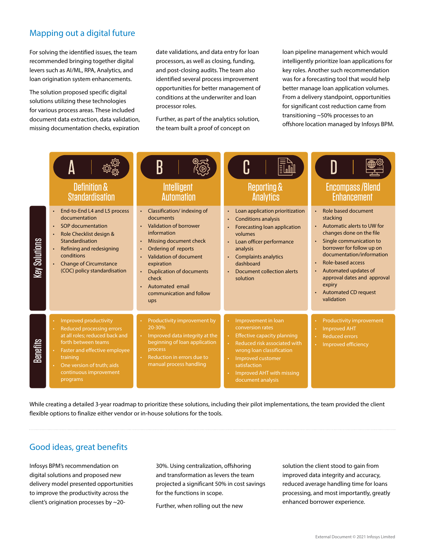## Mapping out a digital future

For solving the identified issues, the team recommended bringing together digital levers such as AI/ML, RPA, Analytics, and loan origination system enhancements.

The solution proposed specific digital solutions utilizing these technologies for various process areas. These included document data extraction, data validation, missing documentation checks, expiration

date validations, and data entry for loan processors, as well as closing, funding, and post-closing audits. The team also identified several process improvement opportunities for better management of conditions at the underwriter and loan processor roles.

Further, as part of the analytics solution, the team built a proof of concept on

loan pipeline management which would intelligently prioritize loan applications for key roles. Another such recommendation was for a forecasting tool that would help better manage loan application volumes. From a delivery standpoint, opportunities for significant cost reduction came from transitioning ~50% processes to an offshore location managed by Infosys BPM.



While creating a detailed 3-year roadmap to prioritize these solutions, including their pilot implementations, the team provided the client flexible options to finalize either vendor or in-house solutions for the tools.

## Good ideas, great benefits

Infosys BPM's recommendation on digital solutions and proposed new delivery model presented opportunities to improve the productivity across the client's origination processes by ~2030%. Using centralization, offshoring and transformation as levers the team projected a significant 50% in cost savings for the functions in scope.

Further, when rolling out the new

solution the client stood to gain from improved data integrity and accuracy, reduced average handling time for loans processing, and most importantly, greatly enhanced borrower experience.